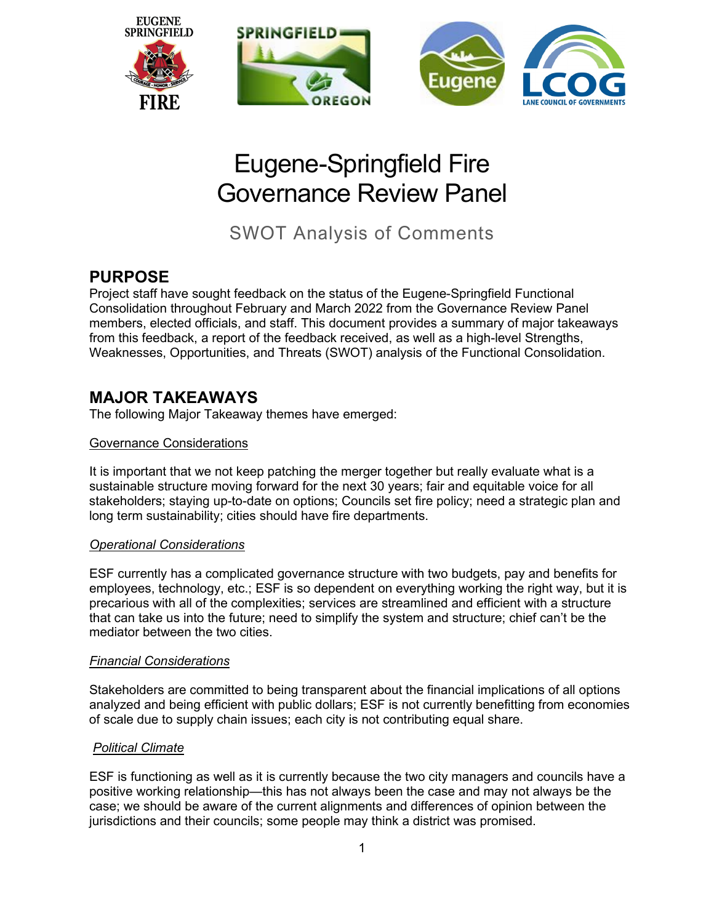

# Eugene-Springfield Fire Governance Review Panel

SWOT Analysis of Comments

# **PURPOSE**

Project staff have sought feedback on the status of the Eugene-Springfield Functional Consolidation throughout February and March 2022 from the Governance Review Panel members, elected officials, and staff. This document provides a summary of major takeaways from this feedback, a report of the feedback received, as well as a high-level Strengths, Weaknesses, Opportunities, and Threats (SWOT) analysis of the Functional Consolidation.

# **MAJOR TAKEAWAYS**

The following Major Takeaway themes have emerged:

#### Governance Considerations

It is important that we not keep patching the merger together but really evaluate what is a sustainable structure moving forward for the next 30 years; fair and equitable voice for all stakeholders; staying up-to-date on options; Councils set fire policy; need a strategic plan and long term sustainability; cities should have fire departments.

#### *Operational Considerations*

ESF currently has a complicated governance structure with two budgets, pay and benefits for employees, technology, etc.; ESF is so dependent on everything working the right way, but it is precarious with all of the complexities; services are streamlined and efficient with a structure that can take us into the future; need to simplify the system and structure; chief can't be the mediator between the two cities.

#### *Financial Considerations*

Stakeholders are committed to being transparent about the financial implications of all options analyzed and being efficient with public dollars; ESF is not currently benefitting from economies of scale due to supply chain issues; each city is not contributing equal share.

### *Political Climate*

ESF is functioning as well as it is currently because the two city managers and councils have a positive working relationship—this has not always been the case and may not always be the case; we should be aware of the current alignments and differences of opinion between the jurisdictions and their councils; some people may think a district was promised.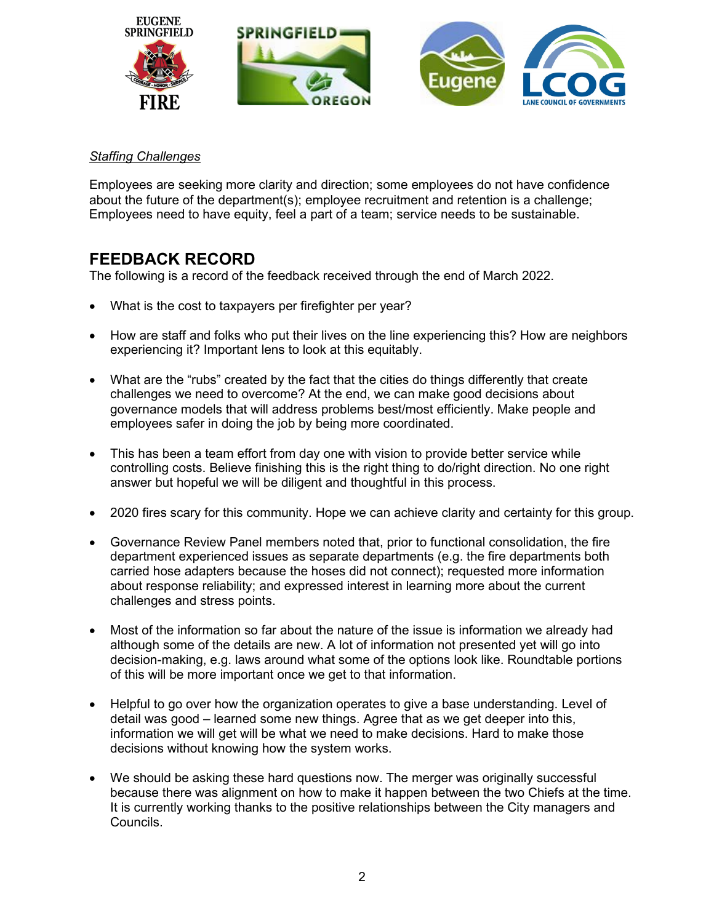

#### *Staffing Challenges*

Employees are seeking more clarity and direction; some employees do not have confidence about the future of the department(s); employee recruitment and retention is a challenge; Employees need to have equity, feel a part of a team; service needs to be sustainable.

# **FEEDBACK RECORD**

The following is a record of the feedback received through the end of March 2022.

- What is the cost to taxpayers per firefighter per year?
- How are staff and folks who put their lives on the line experiencing this? How are neighbors experiencing it? Important lens to look at this equitably.
- What are the "rubs" created by the fact that the cities do things differently that create challenges we need to overcome? At the end, we can make good decisions about governance models that will address problems best/most efficiently. Make people and employees safer in doing the job by being more coordinated.
- This has been a team effort from day one with vision to provide better service while controlling costs. Believe finishing this is the right thing to do/right direction. No one right answer but hopeful we will be diligent and thoughtful in this process.
- 2020 fires scary for this community. Hope we can achieve clarity and certainty for this group.
- Governance Review Panel members noted that, prior to functional consolidation, the fire department experienced issues as separate departments (e.g. the fire departments both carried hose adapters because the hoses did not connect); requested more information about response reliability; and expressed interest in learning more about the current challenges and stress points.
- Most of the information so far about the nature of the issue is information we already had although some of the details are new. A lot of information not presented yet will go into decision-making, e.g. laws around what some of the options look like. Roundtable portions of this will be more important once we get to that information.
- Helpful to go over how the organization operates to give a base understanding. Level of detail was good – learned some new things. Agree that as we get deeper into this, information we will get will be what we need to make decisions. Hard to make those decisions without knowing how the system works.
- We should be asking these hard questions now. The merger was originally successful because there was alignment on how to make it happen between the two Chiefs at the time. It is currently working thanks to the positive relationships between the City managers and Councils.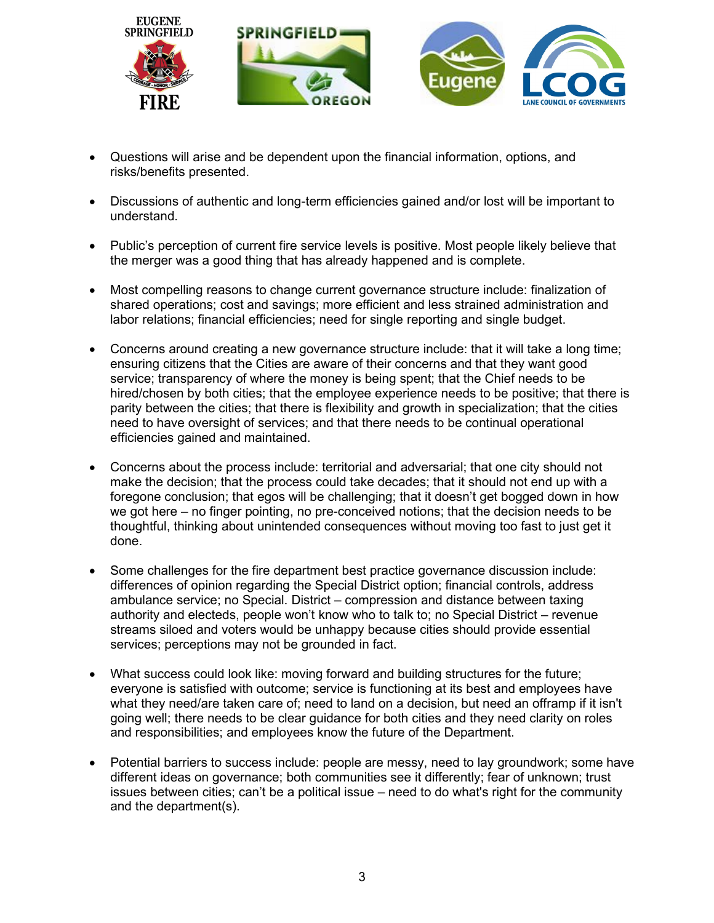

- Questions will arise and be dependent upon the financial information, options, and risks/benefits presented.
- Discussions of authentic and long-term efficiencies gained and/or lost will be important to understand.
- Public's perception of current fire service levels is positive. Most people likely believe that the merger was a good thing that has already happened and is complete.
- Most compelling reasons to change current governance structure include: finalization of shared operations; cost and savings; more efficient and less strained administration and labor relations; financial efficiencies; need for single reporting and single budget.
- Concerns around creating a new governance structure include: that it will take a long time; ensuring citizens that the Cities are aware of their concerns and that they want good service; transparency of where the money is being spent; that the Chief needs to be hired/chosen by both cities; that the employee experience needs to be positive; that there is parity between the cities; that there is flexibility and growth in specialization; that the cities need to have oversight of services; and that there needs to be continual operational efficiencies gained and maintained.
- Concerns about the process include: territorial and adversarial; that one city should not make the decision; that the process could take decades; that it should not end up with a foregone conclusion; that egos will be challenging; that it doesn't get bogged down in how we got here – no finger pointing, no pre-conceived notions; that the decision needs to be thoughtful, thinking about unintended consequences without moving too fast to just get it done.
- Some challenges for the fire department best practice governance discussion include: differences of opinion regarding the Special District option; financial controls, address ambulance service; no Special. District – compression and distance between taxing authority and electeds, people won't know who to talk to; no Special District – revenue streams siloed and voters would be unhappy because cities should provide essential services; perceptions may not be grounded in fact.
- What success could look like: moving forward and building structures for the future; everyone is satisfied with outcome; service is functioning at its best and employees have what they need/are taken care of; need to land on a decision, but need an offramp if it isn't going well; there needs to be clear guidance for both cities and they need clarity on roles and responsibilities; and employees know the future of the Department.
- Potential barriers to success include: people are messy, need to lay groundwork; some have different ideas on governance; both communities see it differently; fear of unknown; trust issues between cities; can't be a political issue – need to do what's right for the community and the department(s).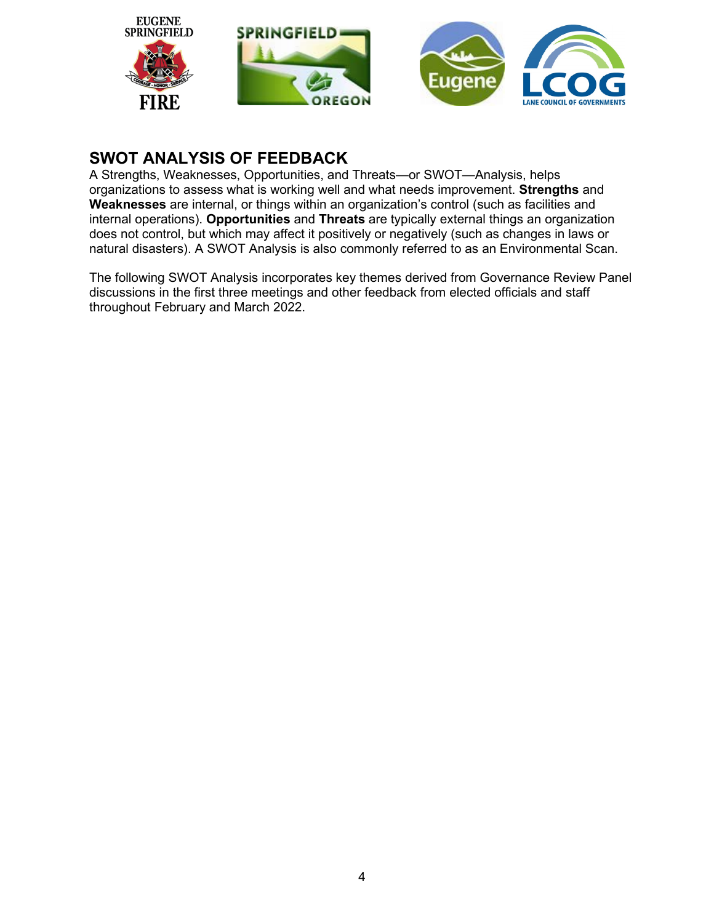

# **SWOT ANALYSIS OF FEEDBACK**

A Strengths, Weaknesses, Opportunities, and Threats—or SWOT—Analysis, helps organizations to assess what is working well and what needs improvement. **Strengths** and **Weaknesses** are internal, or things within an organization's control (such as facilities and internal operations). **Opportunities** and **Threats** are typically external things an organization does not control, but which may affect it positively or negatively (such as changes in laws or natural disasters). A SWOT Analysis is also commonly referred to as an Environmental Scan.

The following SWOT Analysis incorporates key themes derived from Governance Review Panel discussions in the first three meetings and other feedback from elected officials and staff throughout February and March 2022.